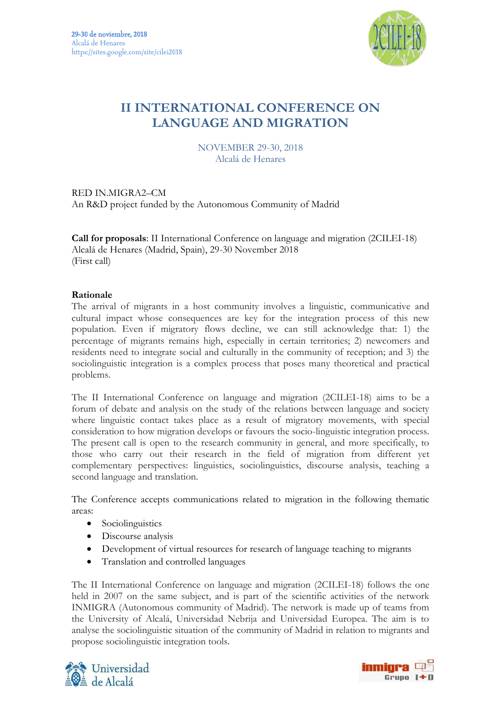

# **II INTERNATIONAL CONFERENCE ON LANGUAGE AND MIGRATION**

NOVEMBER 29-30, 2018 Alcalá de Henares

RED IN.MIGRA2–CM An R&D project funded by the Autonomous Community of Madrid

**Call for proposals**: II International Conference on language and migration (2CILEI-18) Alcalá de Henares (Madrid, Spain), 29-30 November 2018 (First call)

### **Rationale**

The arrival of migrants in a host community involves a linguistic, communicative and cultural impact whose consequences are key for the integration process of this new population. Even if migratory flows decline, we can still acknowledge that: 1) the percentage of migrants remains high, especially in certain territories; 2) newcomers and residents need to integrate social and culturally in the community of reception; and 3) the sociolinguistic integration is a complex process that poses many theoretical and practical problems.

The II International Conference on language and migration (2CILEI-18) aims to be a forum of debate and analysis on the study of the relations between language and society where linguistic contact takes place as a result of migratory movements, with special consideration to how migration develops or favours the socio-linguistic integration process. The present call is open to the research community in general, and more specifically, to those who carry out their research in the field of migration from different yet complementary perspectives: linguistics, sociolinguistics, discourse analysis, teaching a second language and translation.

The Conference accepts communications related to migration in the following thematic areas:

- Sociolinguistics
- Discourse analysis
- Development of virtual resources for research of language teaching to migrants
- Translation and controlled languages

The II International Conference on language and migration (2CILEI-18) follows the one held in 2007 on the same subject, and is part of the scientific activities of the network INMIGRA (Autonomous community of Madrid). The network is made up of teams from the University of Alcalá, Universidad Nebrija and Universidad Europea. The aim is to analyse the sociolinguistic situation of the community of Madrid in relation to migrants and propose sociolinguistic integration tools.



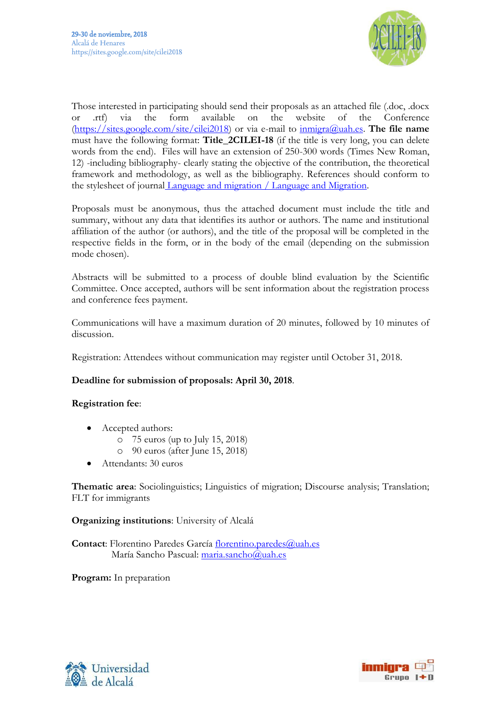

Those interested in participating should send their proposals as an attached file (.doc, .docx or .rtf) via the form available on the website of the Conference (https://sites.google.com/site/cilei2018) or via e-mail to inmigra@uah.es. **The file name** must have the following format: **Title\_2CILEI-18** (if the title is very long, you can delete words from the end). Files will have an extension of 250-300 words (Times New Roman, 12) -including bibliography- clearly stating the objective of the contribution, the theoretical framework and methodology, as well as the bibliography. References should conform to the stylesheet of journal Language and migration / Language and Migration.

Proposals must be anonymous, thus the attached document must include the title and summary, without any data that identifies its author or authors. The name and institutional affiliation of the author (or authors), and the title of the proposal will be completed in the respective fields in the form, or in the body of the email (depending on the submission mode chosen).

Abstracts will be submitted to a process of double blind evaluation by the Scientific Committee. Once accepted, authors will be sent information about the registration process and conference fees payment.

Communications will have a maximum duration of 20 minutes, followed by 10 minutes of discussion.

Registration: Attendees without communication may register until October 31, 2018.

## **Deadline for submission of proposals: April 30, 2018**.

## **Registration fee**:

- Accepted authors:
	- o 75 euros (up to July 15, 2018)
	- o 90 euros (after June 15, 2018)
- x Attendants: 30 euros

**Thematic area**: Sociolinguistics; Linguistics of migration; Discourse analysis; Translation; FLT for immigrants

**Organizing institutions**: University of Alcalá

**Contact**: Florentino Paredes García florentino.paredes@uah.es María Sancho Pascual: maria.sancho@uah.es

**Program:** In preparation